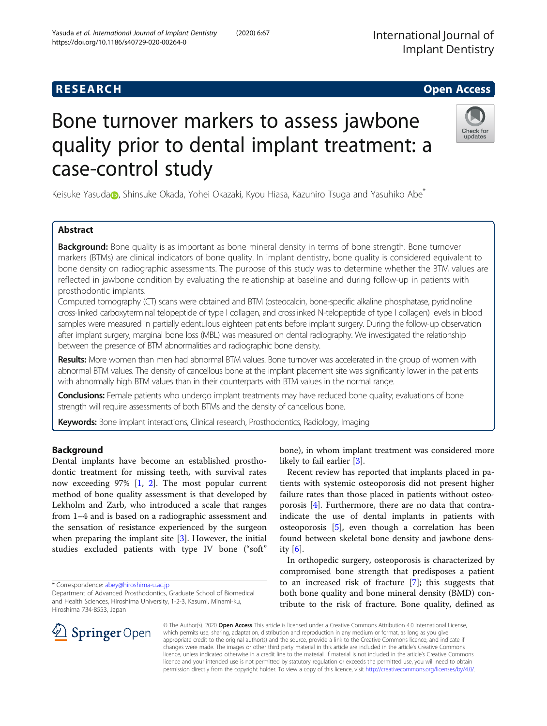# Bone turnover markers to assess jawbone quality prior to dental implant treatment: a case-control study

Keisuke Y[a](http://orcid.org/0000-0002-1710-4645)suda , Shinsuke Okada, Yohei Okazaki, Kyou Hiasa, Kazuhiro Tsuga and Yasuhiko Abe<sup>\*</sup>

# Abstract

Background: Bone quality is as important as bone mineral density in terms of bone strength. Bone turnover markers (BTMs) are clinical indicators of bone quality. In implant dentistry, bone quality is considered equivalent to bone density on radiographic assessments. The purpose of this study was to determine whether the BTM values are reflected in jawbone condition by evaluating the relationship at baseline and during follow-up in patients with prosthodontic implants.

Computed tomography (CT) scans were obtained and BTM (osteocalcin, bone-specific alkaline phosphatase, pyridinoline cross-linked carboxyterminal telopeptide of type I collagen, and crosslinked N-telopeptide of type I collagen) levels in blood samples were measured in partially edentulous eighteen patients before implant surgery. During the follow-up observation after implant surgery, marginal bone loss (MBL) was measured on dental radiography. We investigated the relationship between the presence of BTM abnormalities and radiographic bone density.

Results: More women than men had abnormal BTM values. Bone turnover was accelerated in the group of women with abnormal BTM values. The density of cancellous bone at the implant placement site was significantly lower in the patients with abnormally high BTM values than in their counterparts with BTM values in the normal range.

Conclusions: Female patients who undergo implant treatments may have reduced bone quality; evaluations of bone strength will require assessments of both BTMs and the density of cancellous bone.

Keywords: Bone implant interactions, Clinical research, Prosthodontics, Radiology, Imaging

# Background

Dental implants have become an established prosthodontic treatment for missing teeth, with survival rates now exceeding 97% [[1](#page-7-0), [2\]](#page-7-0). The most popular current method of bone quality assessment is that developed by Lekholm and Zarb, who introduced a scale that ranges from 1–4 and is based on a radiographic assessment and the sensation of resistance experienced by the surgeon when preparing the implant site [[3\]](#page-7-0). However, the initial studies excluded patients with type IV bone ("soft"

\* Correspondence: [abey@hiroshima-u.ac.jp](mailto:abey@hiroshima-u.ac.jp)

bone), in whom implant treatment was considered more likely to fail earlier [\[3](#page-7-0)].

Recent review has reported that implants placed in patients with systemic osteoporosis did not present higher failure rates than those placed in patients without osteoporosis [[4\]](#page-7-0). Furthermore, there are no data that contraindicate the use of dental implants in patients with osteoporosis [\[5](#page-7-0)], even though a correlation has been found between skeletal bone density and jawbone density [[6\]](#page-7-0).

In orthopedic surgery, osteoporosis is characterized by compromised bone strength that predisposes a patient to an increased risk of fracture [[7\]](#page-7-0); this suggests that both bone quality and bone mineral density (BMD) contribute to the risk of fracture. Bone quality, defined as

© The Author(s). 2020 Open Access This article is licensed under a Creative Commons Attribution 4.0 International License, which permits use, sharing, adaptation, distribution and reproduction in any medium or format, as long as you give appropriate credit to the original author(s) and the source, provide a link to the Creative Commons licence, and indicate if changes were made. The images or other third party material in this article are included in the article's Creative Commons licence, unless indicated otherwise in a credit line to the material. If material is not included in the article's Creative Commons licence and your intended use is not permitted by statutory regulation or exceeds the permitted use, you will need to obtain permission directly from the copyright holder. To view a copy of this licence, visit <http://creativecommons.org/licenses/by/4.0/>.





**RESEARCH CHE Open Access** 

Department of Advanced Prosthodontics, Graduate School of Biomedical and Health Sciences, Hiroshima University, 1-2-3, Kasumi, Minami-ku, Hiroshima 734-8553, Japan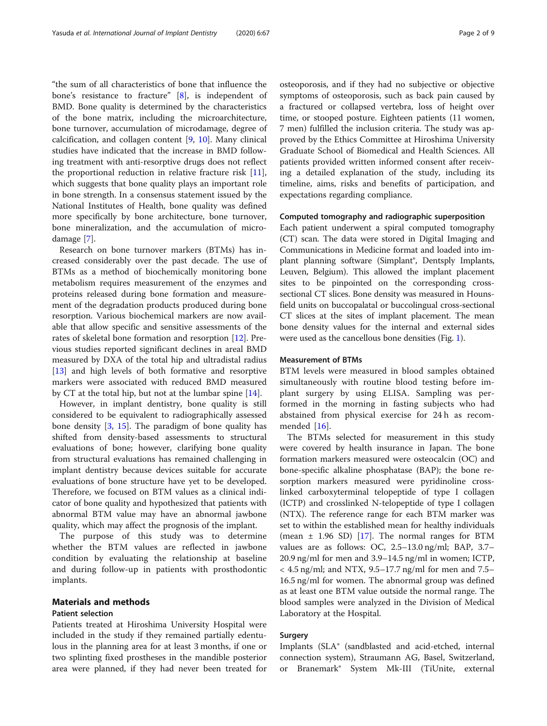"the sum of all characteristics of bone that influence the bone's resistance to fracture" [[8](#page-7-0)], is independent of BMD. Bone quality is determined by the characteristics of the bone matrix, including the microarchitecture, bone turnover, accumulation of microdamage, degree of calcification, and collagen content [\[9](#page-7-0), [10\]](#page-7-0). Many clinical studies have indicated that the increase in BMD following treatment with anti-resorptive drugs does not reflect the proportional reduction in relative fracture risk [\[11](#page-7-0)], which suggests that bone quality plays an important role in bone strength. In a consensus statement issued by the National Institutes of Health, bone quality was defined more specifically by bone architecture, bone turnover, bone mineralization, and the accumulation of microdamage [\[7\]](#page-7-0).

Research on bone turnover markers (BTMs) has increased considerably over the past decade. The use of BTMs as a method of biochemically monitoring bone metabolism requires measurement of the enzymes and proteins released during bone formation and measurement of the degradation products produced during bone resorption. Various biochemical markers are now available that allow specific and sensitive assessments of the rates of skeletal bone formation and resorption [\[12](#page-7-0)]. Previous studies reported significant declines in areal BMD measured by DXA of the total hip and ultradistal radius [[13\]](#page-7-0) and high levels of both formative and resorptive markers were associated with reduced BMD measured by CT at the total hip, but not at the lumbar spine [\[14](#page-7-0)].

However, in implant dentistry, bone quality is still considered to be equivalent to radiographically assessed bone density [[3,](#page-7-0) [15\]](#page-7-0). The paradigm of bone quality has shifted from density-based assessments to structural evaluations of bone; however, clarifying bone quality from structural evaluations has remained challenging in implant dentistry because devices suitable for accurate evaluations of bone structure have yet to be developed. Therefore, we focused on BTM values as a clinical indicator of bone quality and hypothesized that patients with abnormal BTM value may have an abnormal jawbone quality, which may affect the prognosis of the implant.

The purpose of this study was to determine whether the BTM values are reflected in jawbone condition by evaluating the relationship at baseline and during follow-up in patients with prosthodontic implants.

# Materials and methods

# Patient selection

Patients treated at Hiroshima University Hospital were included in the study if they remained partially edentulous in the planning area for at least 3 months, if one or two splinting fixed prostheses in the mandible posterior area were planned, if they had never been treated for osteoporosis, and if they had no subjective or objective symptoms of osteoporosis, such as back pain caused by a fractured or collapsed vertebra, loss of height over time, or stooped posture. Eighteen patients (11 women, 7 men) fulfilled the inclusion criteria. The study was approved by the Ethics Committee at Hiroshima University Graduate School of Biomedical and Health Sciences. All patients provided written informed consent after receiving a detailed explanation of the study, including its timeline, aims, risks and benefits of participation, and expectations regarding compliance.

# Computed tomography and radiographic superposition

Each patient underwent a spiral computed tomography (CT) scan. The data were stored in Digital Imaging and Communications in Medicine format and loaded into implant planning software (Simplant®, Dentsply Implants, Leuven, Belgium). This allowed the implant placement sites to be pinpointed on the corresponding crosssectional CT slices. Bone density was measured in Hounsfield units on buccopalatal or buccolingual cross-sectional CT slices at the sites of implant placement. The mean bone density values for the internal and external sides were used as the cancellous bone densities (Fig. [1](#page-2-0)).

#### Measurement of BTMs

BTM levels were measured in blood samples obtained simultaneously with routine blood testing before implant surgery by using ELISA. Sampling was performed in the morning in fasting subjects who had abstained from physical exercise for 24 h as recommended [\[16](#page-7-0)].

The BTMs selected for measurement in this study were covered by health insurance in Japan. The bone formation markers measured were osteocalcin (OC) and bone-specific alkaline phosphatase (BAP); the bone resorption markers measured were pyridinoline crosslinked carboxyterminal telopeptide of type I collagen (ICTP) and crosslinked N-telopeptide of type I collagen (NTX). The reference range for each BTM marker was set to within the established mean for healthy individuals (mean  $\pm$  1.96 SD) [\[17](#page-7-0)]. The normal ranges for BTM values are as follows: OC, 2.5–13.0 ng/ml; BAP, 3.7– 20.9 ng/ml for men and 3.9–14.5 ng/ml in women; ICTP,  $<$  4.5 ng/ml; and NTX, 9.5–17.7 ng/ml for men and 7.5– 16.5 ng/ml for women. The abnormal group was defined as at least one BTM value outside the normal range. The blood samples were analyzed in the Division of Medical Laboratory at the Hospital.

# Surgery

Implants (SLA® (sandblasted and acid-etched, internal connection system), Straumann AG, Basel, Switzerland, or Branemark® System Mk-III (TiUnite, external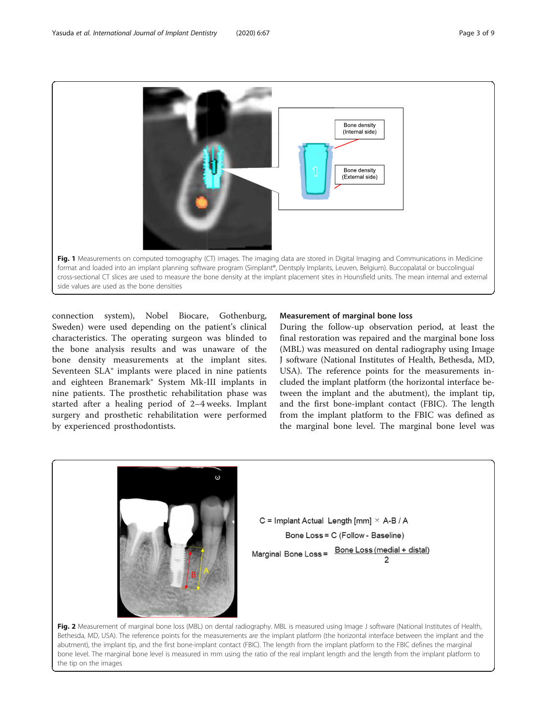<span id="page-2-0"></span>

connection system), Nobel Biocare, Gothenburg, Sweden) were used depending on the patient's clinical characteristics. The operating surgeon was blinded to the bone analysis results and was unaware of the bone density measurements at the implant sites. Seventeen SLA® implants were placed in nine patients and eighteen Branemark® System Mk-III implants in nine patients. The prosthetic rehabilitation phase was started after a healing period of 2–4 weeks. Implant surgery and prosthetic rehabilitation were performed by experienced prosthodontists.

# Measurement of marginal bone loss

During the follow-up observation period, at least the final restoration was repaired and the marginal bone loss (MBL) was measured on dental radiography using Image J software (National Institutes of Health, Bethesda, MD, USA). The reference points for the measurements included the implant platform (the horizontal interface between the implant and the abutment), the implant tip, and the first bone-implant contact (FBIC). The length from the implant platform to the FBIC was defined as the marginal bone level. The marginal bone level was



Bethesda, MD, USA). The reference points for the measurements are the implant platform (the horizontal interface between the implant and the abutment), the implant tip, and the first bone-implant contact (FBIC). The length from the implant platform to the FBIC defines the marginal bone level. The marginal bone level is measured in mm using the ratio of the real implant length and the length from the implant platform to the tip on the images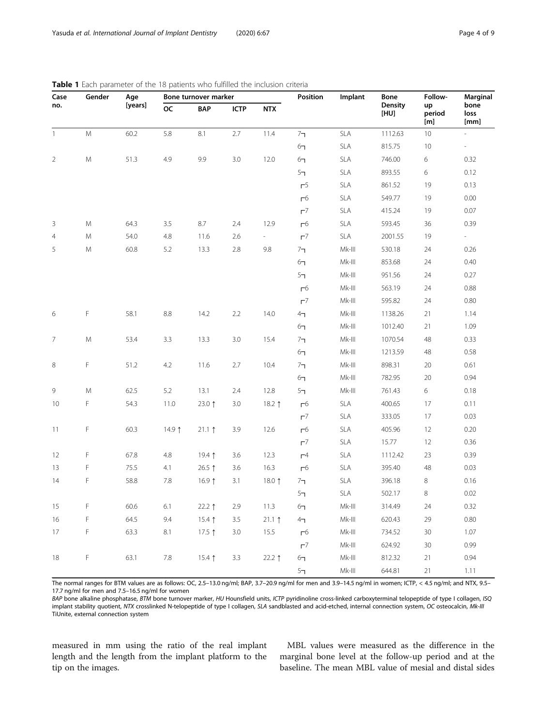| Case           | Gender | Age     | Bone turnover marker |                   |             |                 | Position              | Implant   | Bone            | Follow-             | Marginal             |
|----------------|--------|---------|----------------------|-------------------|-------------|-----------------|-----------------------|-----------|-----------------|---------------------|----------------------|
| no.            |        | [years] | <b>OC</b>            | <b>BAP</b>        | <b>ICTP</b> | <b>NTX</b>      |                       |           | Density<br>[HU] | up<br>period<br>[m] | bone<br>loss<br>[mm] |
| $\mathbf{1}$   | M      | 60.2    | 5.8                  | 8.1               | 2.7         | 11.4            | 7 <sub>7</sub>        | SLA       | 1112.63         | 10                  |                      |
|                |        |         |                      |                   |             |                 | 6 <sub>7</sub>        | SLA       | 815.75          | 10                  | $\sim$               |
| $\overline{2}$ | M      | 51.3    | 4.9                  | 9.9               | 3.0         | 12.0            | 6 <sub>7</sub>        | SLA       | 746.00          | 6                   | 0.32                 |
|                |        |         |                      |                   |             |                 | 5 <sub>7</sub>        | SLA       | 893.55          | 6                   | 0.12                 |
|                |        |         |                      |                   |             |                 | r <sup>5</sup>        | SLA       | 861.52          | 19                  | 0.13                 |
|                |        |         |                      |                   |             |                 | $\Gamma^6$            | SLA       | 549.77          | 19                  | 0.00                 |
|                |        |         |                      |                   |             |                 | $\Gamma$ <sup>7</sup> | SLA       | 415.24          | 19                  | 0.07                 |
| 3              | M      | 64.3    | 3.5                  | 8.7               | 2.4         | 12.9            | $\Gamma^6$            | SLA       | 593.45          | 36                  | 0.39                 |
| $\overline{4}$ | M      | 54.0    | 4.8                  | 11.6              | 2.6         | $\sim$          | $r^7$                 | SLA       | 2001.55         | 19                  | $\sim$               |
| 5              | M      | 60.8    | 5.2                  | 13.3              | 2.8         | 9.8             | 7 <sub>7</sub>        | $Mk-III$  | 530.18          | 24                  | 0.26                 |
|                |        |         |                      |                   |             |                 | 6 <sub>7</sub>        | $Mk-III$  | 853.68          | 24                  | 0.40                 |
|                |        |         |                      |                   |             |                 | 5 <sub>7</sub>        | $Mk-III$  | 951.56          | 24                  | 0.27                 |
|                |        |         |                      |                   |             |                 | $\Gamma^6$            | $Mk-III$  | 563.19          | 24                  | 0.88                 |
|                |        |         |                      |                   |             |                 | $r^7$                 | $Mk-III$  | 595.82          | 24                  | 0.80                 |
| 6              | F      | 58.1    | 8.8                  | 14.2              | 2.2         | 14.0            | 4 <sub>7</sub>        | $Mk-III$  | 1138.26         | 21                  | 1.14                 |
|                |        |         |                      |                   |             |                 | 6 <sub>7</sub>        | $Mk-III$  | 1012.40         | 21                  | 1.09                 |
| 7              | M      | 53.4    | 3.3                  | 13.3              | 3.0         | 15.4            | 7 <sub>7</sub>        | $Mk-III$  | 1070.54         | 48                  | 0.33                 |
|                |        |         |                      |                   |             |                 | 6 <sub>7</sub>        | $Mk-III$  | 1213.59         | 48                  | 0.58                 |
| 8              | F      | 51.2    | 4.2                  | 11.6              | 2.7         | 10.4            | 7 <sub>7</sub>        | $Mk-III$  | 898.31          | 20                  | 0.61                 |
|                |        |         |                      |                   |             |                 | 6 <sub>7</sub>        | $Mk-III$  | 782.95          | 20                  | 0.94                 |
| $\,9$          | M      | 62.5    | 5.2                  | 13.1              | 2.4         | 12.8            | 5 <sub>7</sub>        | $Mk-III$  | 761.43          | 6                   | 0.18                 |
| 10             | F      | 54.3    | 11.0                 | 23.0 $1$          | 3.0         | 18.2 $\uparrow$ | г <sup>6</sup>        | SLA       | 400.65          | 17                  | 0.11                 |
|                |        |         |                      |                   |             |                 | $r^7$                 | SLA       | 333.05          | 17                  | 0.03                 |
| 11             | F      | 60.3    | 14.9 $\uparrow$      | $21.1$ ↑          | 3.9         | 12.6            | $\Gamma^6$            | SLA       | 405.96          | 12                  | 0.20                 |
|                |        |         |                      |                   |             |                 | $r^7$                 | SLA       | 15.77           | 12                  | 0.36                 |
| 12             | F      | 67.8    | 4.8                  | 19.4 $\uparrow$   | 3.6         | 12.3            | $\Gamma$ <sup>4</sup> | SLA       | 1112.42         | 23                  | 0.39                 |
| 13             | F      | 75.5    | 4.1                  | 26.5 ↑            | 3.6         | 16.3            | $\Gamma^6$            | SLA       | 395.40          | 48                  | 0.03                 |
| 14             | F      | 58.8    | 7.8                  | 16.9 <sub>1</sub> | 3.1         | 18.0 $\uparrow$ | 7 <sub>7</sub>        | SLA       | 396.18          | 8                   | 0.16                 |
|                |        |         |                      |                   |             |                 | 5 <sub>7</sub>        | SLA       | 502.17          | $\,8\,$             | 0.02                 |
| 15             | F      | 60.6    | $6.1\,$              | $22.2$ 1          | $2.9\,$     | 11.3            | 6 <sub>7</sub>        | $Mk$ -III | 314.49          | $24\,$              | 0.32                 |
| 16             | F      | 64.5    | 9.4                  | 15.4 $\uparrow$   | 3.5         | $21.1$ ↑        | 4 <sub>7</sub>        | $Mk$ -III | 620.43          | 29                  | 0.80                 |
| 17             | F      | 63.3    | $8.1\,$              | 17.5 $1$          | $3.0\,$     | 15.5            | $\Gamma^6$            | $Mk$ -III | 734.52          | $30\,$              | 1.07                 |
|                |        |         |                      |                   |             |                 | $r^7$                 | $Mk$ -III | 624.92          | $30\,$              | 0.99                 |
| 18             | F      | 63.1    | $7.8\,$              | $15.4$ 1          | 3.3         | 22.2 $\uparrow$ | 6 <sub>7</sub>        | $Mk$ -III | 812.32          | $21\,$              | 0.94                 |
|                |        |         |                      |                   |             |                 | 5 <sub>7</sub>        | $Mk$ -III | 644.81          | 21                  | 1.11                 |

<span id="page-3-0"></span>

The normal ranges for BTM values are as follows: OC, 2.5–13.0 ng/ml; BAP, 3.7–20.9 ng/ml for men and 3.9–14.5 ng/ml in women; ICTP, < 4.5 ng/ml; and NTX, 9.5– 17.7 ng/ml for men and 7.5–16.5 ng/ml for women

BAP bone alkaline phosphatase, BTM bone turnover marker, HU Hounsfield units, ICTP pyridinoline cross-linked carboxyterminal telopeptide of type I collagen, ISQ implant stability quotient, NTX crosslinked N-telopeptide of type I collagen, SLA sandblasted and acid-etched, internal connection system, OC osteocalcin, Mk-III TiUnite, external connection system

measured in mm using the ratio of the real implant length and the length from the implant platform to the tip on the images.

MBL values were measured as the difference in the marginal bone level at the follow-up period and at the baseline. The mean MBL value of mesial and distal sides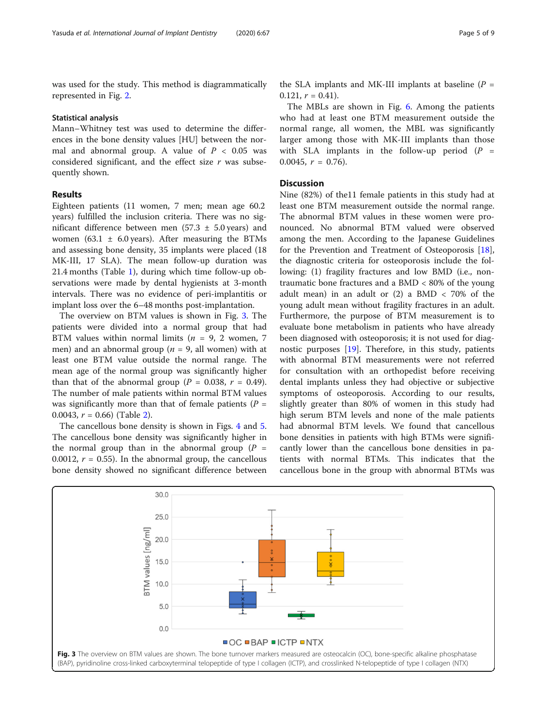was used for the study. This method is diagrammatically represented in Fig. [2.](#page-2-0)

#### Statistical analysis

Mann–Whitney test was used to determine the differences in the bone density values [HU] between the normal and abnormal group. A value of  $P < 0.05$  was considered significant, and the effect size  $r$  was subsequently shown.

# **Results**

Eighteen patients (11 women, 7 men; mean age 60.2 years) fulfilled the inclusion criteria. There was no significant difference between men (57.3  $\pm$  5.0 years) and women (63.1  $\pm$  6.0 years). After measuring the BTMs and assessing bone density, 35 implants were placed (18 MK-III, 17 SLA). The mean follow-up duration was 21.4 months (Table [1\)](#page-3-0), during which time follow-up observations were made by dental hygienists at 3-month intervals. There was no evidence of peri-implantitis or implant loss over the 6–48 months post-implantation.

The overview on BTM values is shown in Fig. 3. The patients were divided into a normal group that had BTM values within normal limits ( $n = 9, 2$  women, 7 men) and an abnormal group ( $n = 9$ , all women) with at least one BTM value outside the normal range. The mean age of the normal group was significantly higher than that of the abnormal group ( $P = 0.038$ ,  $r = 0.49$ ). The number of male patients within normal BTM values was significantly more than that of female patients ( $P =$ 0.0043,  $r = 0.66$ ) (Table [2\)](#page-5-0).

The cancellous bone density is shown in Figs. [4](#page-5-0) and [5](#page-6-0). The cancellous bone density was significantly higher in the normal group than in the abnormal group  $(P =$ 0.0012,  $r = 0.55$ ). In the abnormal group, the cancellous bone density showed no significant difference between

the SLA implants and MK-III implants at baseline  $(P =$ 0.121,  $r = 0.41$ ).

The MBLs are shown in Fig. [6.](#page-6-0) Among the patients who had at least one BTM measurement outside the normal range, all women, the MBL was significantly larger among those with MK-III implants than those with SLA implants in the follow-up period  $(P =$ 0.0045,  $r = 0.76$ ).

## **Discussion**

Nine (82%) of the11 female patients in this study had at least one BTM measurement outside the normal range. The abnormal BTM values in these women were pronounced. No abnormal BTM valued were observed among the men. According to the Japanese Guidelines for the Prevention and Treatment of Osteoporosis [\[18](#page-7-0)], the diagnostic criteria for osteoporosis include the following: (1) fragility fractures and low BMD (i.e., nontraumatic bone fractures and a BMD < 80% of the young adult mean) in an adult or  $(2)$  a BMD < 70% of the young adult mean without fragility fractures in an adult. Furthermore, the purpose of BTM measurement is to evaluate bone metabolism in patients who have already been diagnosed with osteoporosis; it is not used for diagnostic purposes [\[19](#page-7-0)]. Therefore, in this study, patients with abnormal BTM measurements were not referred for consultation with an orthopedist before receiving dental implants unless they had objective or subjective symptoms of osteoporosis. According to our results, slightly greater than 80% of women in this study had high serum BTM levels and none of the male patients had abnormal BTM levels. We found that cancellous bone densities in patients with high BTMs were significantly lower than the cancellous bone densities in patients with normal BTMs. This indicates that the cancellous bone in the group with abnormal BTMs was

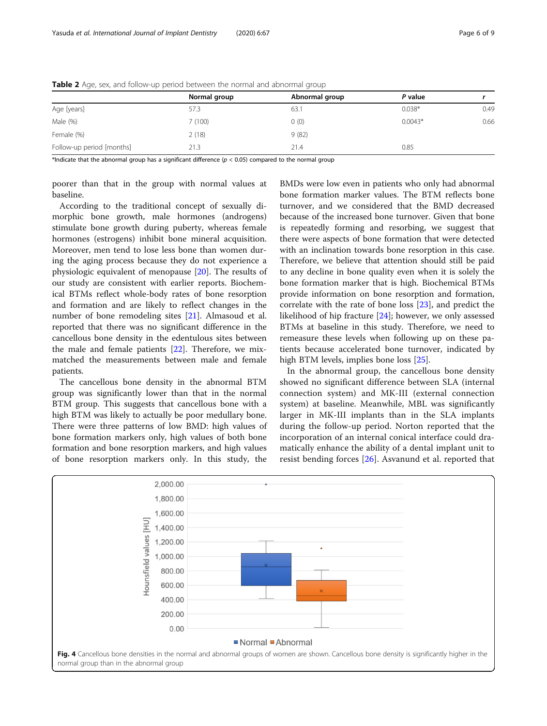|                           | Normal group | Abnormal group | P value   |      |
|---------------------------|--------------|----------------|-----------|------|
| Age [years]               | 57.3         | 63.1           | $0.038*$  | 0.49 |
| Male (%)                  | 7(100)       | 0(0)           | $0.0043*$ | 0.66 |
| Female (%)                | 2(18)        | 9(82)          |           |      |
| Follow-up period [months] | 21.3         | 21.4           | 0.85      |      |

<span id="page-5-0"></span>Table 2 Age, sex, and follow-up period between the normal and abnormal group

\*Indicate that the abnormal group has a significant difference ( $p < 0.05$ ) compared to the normal group

poorer than that in the group with normal values at baseline.

According to the traditional concept of sexually dimorphic bone growth, male hormones (androgens) stimulate bone growth during puberty, whereas female hormones (estrogens) inhibit bone mineral acquisition. Moreover, men tend to lose less bone than women during the aging process because they do not experience a physiologic equivalent of menopause [[20\]](#page-7-0). The results of our study are consistent with earlier reports. Biochemical BTMs reflect whole-body rates of bone resorption and formation and are likely to reflect changes in the number of bone remodeling sites [[21\]](#page-7-0). Almasoud et al. reported that there was no significant difference in the cancellous bone density in the edentulous sites between the male and female patients [[22\]](#page-8-0). Therefore, we mixmatched the measurements between male and female patients.

The cancellous bone density in the abnormal BTM group was significantly lower than that in the normal BTM group. This suggests that cancellous bone with a high BTM was likely to actually be poor medullary bone. There were three patterns of low BMD: high values of bone formation markers only, high values of both bone formation and bone resorption markers, and high values of bone resorption markers only. In this study, the

BMDs were low even in patients who only had abnormal bone formation marker values. The BTM reflects bone turnover, and we considered that the BMD decreased because of the increased bone turnover. Given that bone is repeatedly forming and resorbing, we suggest that there were aspects of bone formation that were detected with an inclination towards bone resorption in this case. Therefore, we believe that attention should still be paid to any decline in bone quality even when it is solely the bone formation marker that is high. Biochemical BTMs provide information on bone resorption and formation, correlate with the rate of bone loss [[23\]](#page-8-0), and predict the likelihood of hip fracture [[24\]](#page-8-0); however, we only assessed BTMs at baseline in this study. Therefore, we need to remeasure these levels when following up on these patients because accelerated bone turnover, indicated by high BTM levels, implies bone loss [[25\]](#page-8-0).

In the abnormal group, the cancellous bone density showed no significant difference between SLA (internal connection system) and MK-III (external connection system) at baseline. Meanwhile, MBL was significantly larger in MK-III implants than in the SLA implants during the follow-up period. Norton reported that the incorporation of an internal conical interface could dramatically enhance the ability of a dental implant unit to resist bending forces [\[26](#page-8-0)]. Asvanund et al. reported that

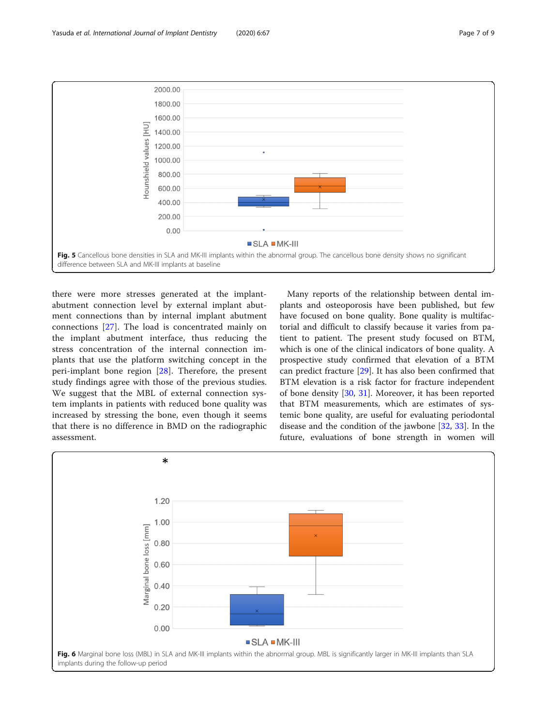<span id="page-6-0"></span>

there were more stresses generated at the implantabutment connection level by external implant abutment connections than by internal implant abutment connections [[27\]](#page-8-0). The load is concentrated mainly on the implant abutment interface, thus reducing the stress concentration of the internal connection implants that use the platform switching concept in the peri-implant bone region [\[28](#page-8-0)]. Therefore, the present study findings agree with those of the previous studies. We suggest that the MBL of external connection system implants in patients with reduced bone quality was increased by stressing the bone, even though it seems that there is no difference in BMD on the radiographic assessment.

Many reports of the relationship between dental implants and osteoporosis have been published, but few have focused on bone quality. Bone quality is multifactorial and difficult to classify because it varies from patient to patient. The present study focused on BTM, which is one of the clinical indicators of bone quality. A prospective study confirmed that elevation of a BTM can predict fracture [[29\]](#page-8-0). It has also been confirmed that BTM elevation is a risk factor for fracture independent of bone density [\[30](#page-8-0), [31](#page-8-0)]. Moreover, it has been reported that BTM measurements, which are estimates of systemic bone quality, are useful for evaluating periodontal disease and the condition of the jawbone [\[32](#page-8-0), [33](#page-8-0)]. In the future, evaluations of bone strength in women will

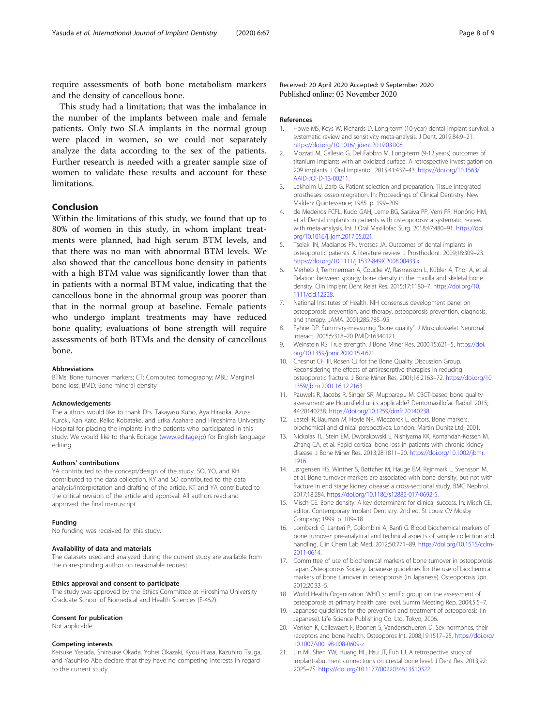<span id="page-7-0"></span>require assessments of both bone metabolism markers and the density of cancellous bone.

This study had a limitation; that was the imbalance in the number of the implants between male and female patients. Only two SLA implants in the normal group were placed in women, so we could not separately analyze the data according to the sex of the patients. Further research is needed with a greater sample size of women to validate these results and account for these limitations.

# Conclusion

Within the limitations of this study, we found that up to 80% of women in this study, in whom implant treatments were planned, had high serum BTM levels, and that there was no man with abnormal BTM levels. We also showed that the cancellous bone density in patients with a high BTM value was significantly lower than that in patients with a normal BTM value, indicating that the cancellous bone in the abnormal group was poorer than that in the normal group at baseline. Female patients who undergo implant treatments may have reduced bone quality; evaluations of bone strength will require assessments of both BTMs and the density of cancellous bone.

#### Abbreviations

BTMs: Bone turnover markers; CT: Computed tomography; MBL: Marginal bone loss; BMD: Bone mineral density

#### Acknowledgements

The authors would like to thank Drs. Takayasu Kubo, Aya Hiraoka, Azusa Kuroki, Kan Kato, Reiko Kobatake, and Erika Asahara and Hiroshima University Hospital for placing the implants in the patients who participated in this study. We would like to thank Editage ([www.editage.jp\)](http://www.editage.jp) for English language editing.

#### Authors' contributions

YA contributed to the concept/design of the study. SO, YO, and KH contributed to the data collection. KY and SO contributed to the data analysis/interpretation and drafting of the article. KT and YA contributed to the critical revision of the article and approval. All authors read and approved the final manuscript.

#### Funding

No funding was received for this study.

#### Availability of data and materials

The datasets used and analyzed during the current study are available from the corresponding author on reasonable request.

#### Ethics approval and consent to participate

The study was approved by the Ethics Committee at Hiroshima University Graduate School of Biomedical and Health Sciences (E-452).

#### Consent for publication

Not applicable.

#### Competing interests

Keisuke Yasuda, Shinsuke Okada, Yohei Okazaki, Kyou Hiasa, Kazuhiro Tsuga, and Yasuhiko Abe declare that they have no competing interests in regard to the current study.

Received: 20 April 2020 Accepted: 9 September 2020 Published online: 03 November 2020

#### References

- 1. Howe MS, Keys W, Richards D. Long-term (10-year) dental implant survival: a systematic review and sensitivity meta-analysis. J Dent. 2019;84:9–21. [https://doi.org/10.1016/j.jdent.2019.03.008.](https://doi.org/10.1016/j.jdent.2019.03.008)
- 2. Mozzati M, Gallesio G, Del Fabbro M. Long-term (9-12 years) outcomes of titanium implants with an oxidized surface: A retrospective investigation on 209 implants. J Oral Implantol. 2015;41:437–43. [https://doi.org/10.1563/](https://doi.org/10.1563/AAID-JOI-D-13-00211) [AAID-JOI-D-13-00211.](https://doi.org/10.1563/AAID-JOI-D-13-00211)
- 3. Lekholm U, Zarb G. Patient selection and preparation. Tissue integrated prostheses: osseointegration. In: Proceedings of Clinical Dentistry. New Malden: Quintessence; 1985. p. 199–209.
- 4. de Medeiros FCFL, Kudo GAH, Leme BG, Saraiva PP, Verri FR, Honório HM, et al. Dental implants in patients with osteoporosis: a systematic review with meta-analysis. Int J Oral Maxillofac Surg. 2018;47:480–91. [https://doi.](https://doi.org/10.1016/j.ijom.2017.05.021) [org/10.1016/j.ijom.2017.05.021](https://doi.org/10.1016/j.ijom.2017.05.021).
- 5. Tsolaki IN, Madianos PN, Vrotsos JA. Outcomes of dental implants in osteoporotic patients. A literature review. J Prosthodont. 2009;18:309–23. [https://doi.org/10.1111/j.1532-849X.2008.00433.x.](https://doi.org/10.1111/j.1532-849X.2008.00433.x)
- 6. Merheb J, Temmerman A, Coucke W, Rasmusson L, Kübler A, Thor A, et al. Relation between spongy bone density in the maxilla and skeletal bone density. Clin Implant Dent Relat Res. 2015;17:1180–7. [https://doi.org/10.](https://doi.org/10.1111/cid.12228) [1111/cid.12228.](https://doi.org/10.1111/cid.12228)
- 7. National Institutes of Health. NIH consensus development panel on osteoporosis prevention, and therapy, osteoporosis prevention, diagnosis, and therapy. JAMA. 2001;285:785–95.
- 8. Fyhrie DP. Summary-measuring "bone quality". J Musculoskelet Neuronal Interact. 2005;5:318–20 PMID:16340121.
- 9. Weinstein RS. True strength. J Bone Miner Res. 2000;15:621–5. [https://doi.](https://doi.org/10.1359/jbmr.2000.15.4.621) [org/10.1359/jbmr.2000.15.4.621](https://doi.org/10.1359/jbmr.2000.15.4.621).
- 10. Chesnut CH III, Rosen CJ for the Bone Quality Discussion Group. Reconsidering the effects of antiresorptive therapies in reducing osteoporotic fracture. J Bone Miner Res. 2001;16:2163–72. [https://doi.org/10.](https://doi.org/10.1359/jbmr.2001.16.12.2163) [1359/jbmr.2001.16.12.2163.](https://doi.org/10.1359/jbmr.2001.16.12.2163)
- 11. Pauwels R, Jacobs R, Singer SR, Mupparapu M. CBCT-based bone quality assessment: are Hounsfield units applicable? Dentomaxillofac Radiol. 2015; 44:20140238. [https://doi.org/10.1259/dmfr.20140238.](https://doi.org/10.1259/dmfr.20140238)
- 12. Eastell R, Bauman M, Hoyle NR, Wieczorek L, editors. Bone markers: biochemical and clinical perspectives. London: Martin Dunitz Ltd; 2001.
- 13. Nickolas TL, Stein EM, Dworakowski E, Nishiyama KK, Komandah-Kosseh M, Zhang CA, et al. Rapid cortical bone loss in patients with chronic kidney disease. J Bone Miner Res. 2013;28:1811–20. [https://doi.org/10.1002/jbmr.](https://doi.org/10.1002/jbmr.1916) [1916](https://doi.org/10.1002/jbmr.1916).
- 14. Jørgensen HS, Winther S, Bøttcher M, Hauge EM, Rejnmark L, Svensson M, et al. Bone turnover markers are associated with bone density, but not with fracture in end stage kidney disease: a cross-sectional study. BMC Nephrol. 2017;18:284. [https://doi.org/10.1186/s12882-017-0692-5.](https://doi.org/10.1186/s12882-017-0692-5)
- 15. Misch CE. Bone density: A key determinant for clinical success. In: Misch CE, editor. Contemporary Implant Dentistry. 2nd ed. St Louis: CV Mosby Company; 1999. p. 109–18.
- 16. Lombardi G, Lanteri P, Colombini A, Banfi G. Blood biochemical markers of bone turnover: pre-analytical and technical aspects of sample collection and handling. Clin Chem Lab Med. 2012;50:771–89. [https://doi.org/10.1515/cclm-](https://doi.org/10.1515/cclm-2011-0614)[2011-0614](https://doi.org/10.1515/cclm-2011-0614).
- 17. Committee of use of biochemical markers of bone turnover in osteoporosis, Japan Osteoporosis Society. Japanese guidelines for the use of biochemical markers of bone turnover in osteoporosis (in Japanese). Osteoporosis Jpn. 2012;20:33–5.
- 18. World Health Organization. WHO scientific group on the assessment of osteoporosis at primary health care level. Summ Meeting Rep. 2004;5:5–7.
- 19. Japanese guidelines for the prevention and treatment of osteoporosis (in Japanese). Life Science Publishing Co. Ltd, Tokyo; 2006.
- 20. Venken K, Callewaert F, Boonen S, Vanderschueren D. Sex hormones, their receptors and bone health. Osteoporos Int. 2008;19:1517–25. [https://doi.org/](https://doi.org/10.1007/s00198-008-0609-z) [10.1007/s00198-008-0609-z](https://doi.org/10.1007/s00198-008-0609-z).
- 21. Lin MI, Shen YW, Huang HL, Hsu JT, Fuh LJ. A retrospective study of implant-abutment connections on crestal bone level. J Dent Res. 2013;92: 202S–7S. [https://doi.org/10.1177/0022034513510322.](https://doi.org/10.1177/0022034513510322)